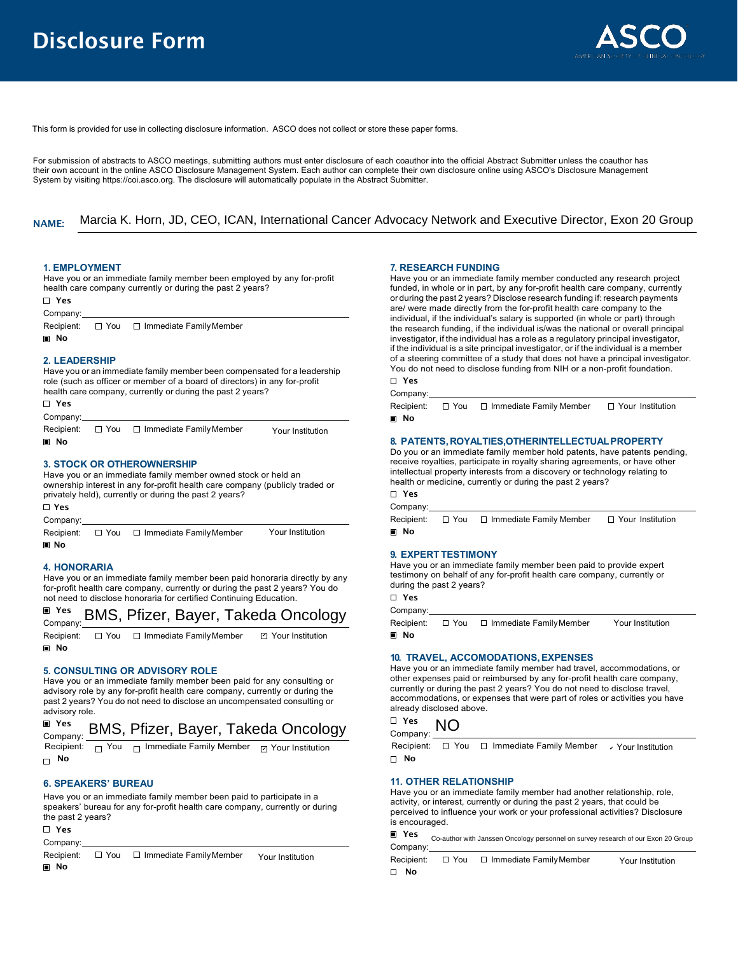

This form is provided for use in collecting disclosure information. ASCO does not collect or store these paper forms.

For submission of abstracts to ASCO meetings, submitting authors must enter disclosure of each coauthor into the official Abstract Submitter unless the coauthor has their own account in the online ASCO Disclosure Management System. Each author can complete their own disclosure online using ASCO's Disclosure Management System by visiting [https://coi.asco.org.](https://coi.asco.org) The disclosure will automatically populate in the Abstract Submitter.

#### NAME: Marcia K. Horn, JD, CEO, ICAN, International Cancer Advocacy Network and Executive Director, Exon 20 Group

## **1. EMPLOYMENT**

Have you or an immediate family member been employed by any for-profit health care company currently or during the past 2 years?

| ⊓ Yes                                                                                                                                                                                                                                                      |
|------------------------------------------------------------------------------------------------------------------------------------------------------------------------------------------------------------------------------------------------------------|
| Company:                                                                                                                                                                                                                                                   |
| Recipient: $\Box$ You $\Box$ Immediate Family Member                                                                                                                                                                                                       |
| <b>■ No</b>                                                                                                                                                                                                                                                |
| 2. LEADERSHIP<br>Have you or an immediate family member been compensated for a leadership<br>role (such as officer or member of a board of directors) in any for-profit<br>health care company, currently or during the past 2 years?<br>Π Yeς<br>Company: |
| Recipient: $\Box$ You $\Box$ Immediate Family Member<br>Your Institution                                                                                                                                                                                   |
| <b>■ No</b>                                                                                                                                                                                                                                                |
| <b>3. STOCK OR OTHEROWNERSHIP</b>                                                                                                                                                                                                                          |

## Have you or an immediate family member owned stock or held an ownership interest in any for-profit health care company (publicly traded or privately held), currently or during the past 2 years?

Yes Company: Recipient: □ You □ Immediate Family Member **n** No Your Institution

## **4. HONORARIA**

Have you or an immediate family member been paid honoraria directly by any for-profit health care company, currently or during the past 2 years? You do not need to disclose honoraria for certified Continuing Education.

#### Yes Company: BMS, Pfizer, Bayer, Takeda Oncology

Recipient:  $\square$  You  $\square$  Immediate Family Member ■ No Your Institution ✔

## **5. CONSULTING OR ADVISORY ROLE**

Have you or an immediate family member been paid for any consulting or advisory role by any for-profit health care company, currently or during the past 2 years? You do not need to disclose an uncompensated consulting or advisory role.

## Yes BMS, Pfizer, Bayer, Takeda Oncology Company: NO

Company:<br>Recipient:

No No

## **6. SPEAKERS' BUREAU**

Have you or an immediate family member been paid to participate in a speakers' bureau for any for-profit health care company, currently or during the past 2 years?

Yes

Company:

Recipient:  $\Box$  You  $\Box$  Immediate Family Member Your Institution

**n** No

# **7. RESEARCH FUNDING**

Have you or an immediate family member conducted any research project funded, in whole or in part, by any for-profit health care company, currently or during the past 2 years? Disclose research funding if: research payments are/ were made directly from the for-profit health care company to the individual, if the individual's salary is supported (in whole or part) through the research funding, if the individual is/was the national or overall principal investigator, if the individual has a role as a regulatory principal investigator, if the individual is a site principal investigator, or if the individual is a member of a steering committee of a study that does not have a principal investigator. You do not need to disclose funding from NIH or a non-profit foundation.

### Yes Company:

|      | Recipient: □ You □ Immediate Family Member | $\Box$ Your Institution |
|------|--------------------------------------------|-------------------------|
| ■ No |                                            |                         |

## **8. PATENTS,ROYALTIES,OTHERINTELLECTUALPROPERTY**

Do you or an immediate family member hold patents, have patents pending, receive royalties, participate in royalty sharing agreements, or have other intellectual property interests from a discovery or technology relating to health or medicine, currently or during the past 2 years?

## Yes Company:

Recipient:  $\Box$  You  $\Box$  Immediate Family Member  $\Box$  Your Institution **No** 

## **9. EXPERT TESTIMONY**

Have you or an immediate family member been paid to provide expert testimony on behalf of any for-profit health care company, currently or during the past 2 years?

## Yes Company:

|       | Recipient: $\Box$ You $\Box$ Immediate Family Member | Your Institution |
|-------|------------------------------------------------------|------------------|
| l∎ No |                                                      |                  |

## **10. TRAVEL, ACCOMODATIONS,EXPENSES**

Have you or an immediate family member had travel, accommodations, or other expenses paid or reimbursed by any for-profit health care company, currently or during the past 2 years? You do not need to disclose travel, accommodations, or expenses that were part of roles or activities you have already disclosed above.



Recipient: You Immediate Family Member Your Institution Recipient: You Immediate Family Member ✔ $\boldsymbol{\mathsf{\nu}}$  Your Institution

## **11. OTHER RELATIONSHIP**

Have you or an immediate family member had another relationship, role, activity, or interest, currently or during the past 2 years, that could be perceived to influence your work or your professional activities? Disclosure is encouraged.

Yes Company: Co-author with Janssen Oncology personnel on survey research of our Exon 20 Group

Recipient:  $\Box$  You  $\Box$  Immediate Family Member No Your Institution